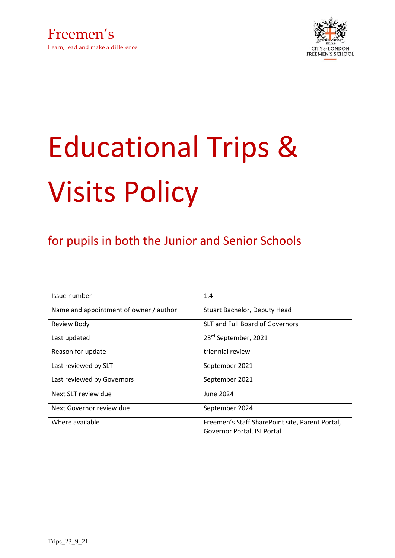



# Educational Trips & Visits Policy

## for pupils in both the Junior and Senior Schools

| Issue number                           | 1.4                                                                            |
|----------------------------------------|--------------------------------------------------------------------------------|
| Name and appointment of owner / author | Stuart Bachelor, Deputy Head                                                   |
| <b>Review Body</b>                     | SLT and Full Board of Governors                                                |
| Last updated                           | 23rd September, 2021                                                           |
| Reason for update                      | triennial review                                                               |
| Last reviewed by SLT                   | September 2021                                                                 |
| Last reviewed by Governors             | September 2021                                                                 |
| Next SLT review due                    | June 2024                                                                      |
| Next Governor review due               | September 2024                                                                 |
| Where available                        | Freemen's Staff SharePoint site, Parent Portal,<br>Governor Portal, ISI Portal |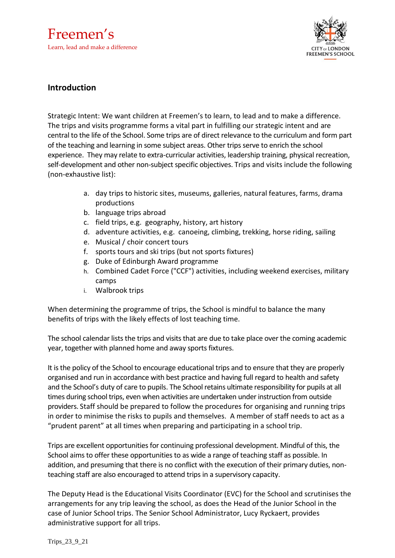Freemen's Learn, lead and make a difference



### **Introduction**

Strategic Intent: We want children at Freemen's to learn, to lead and to make a difference. The trips and visits programme forms a vital part in fulfilling our strategic intent and are central to the life of the School. Some trips are of direct relevance to the curriculum and form part of the teaching and learning in some subject areas. Other trips serve to enrich the school experience. They may relate to extra-curricular activities, leadership training, physical recreation, self-development and other non-subject specific objectives. Trips and visits include the following (non-exhaustive list):

- a. day trips to historic sites, museums, galleries, natural features, farms, drama productions
- b. language trips abroad
- c. field trips, e.g. geography, history, art history
- d. adventure activities, e.g. canoeing, climbing, trekking, horse riding, sailing
- e. Musical / choir concert tours
- f. sports tours and ski trips (but not sports fixtures)
- g. Duke of Edinburgh Award programme
- h. Combined Cadet Force ("CCF") activities, including weekend exercises, military camps
- i. Walbrook trips

When determining the programme of trips, the School is mindful to balance the many benefits of trips with the likely effects of lost teaching time.

The school calendar lists the trips and visits that are due to take place over the coming academic year, together with planned home and away sports fixtures.

It is the policy of the School to encourage educational trips and to ensure that they are properly organised and run in accordance with best practice and having full regard to health and safety and the School's duty of care to pupils. The School retains ultimate responsibility for pupils at all times during school trips, even when activities are undertaken under instruction from outside providers. Staff should be prepared to follow the procedures for organising and running trips in order to minimise the risks to pupils and themselves. A member of staff needs to act as a "prudent parent" at all times when preparing and participating in a school trip.

Trips are excellent opportunities for continuing professional development. Mindful of this, the School aimsto offer these opportunities to as wide a range of teaching staff as possible. In addition, and presuming that there is no conflict with the execution of their primary duties, nonteaching staff are also encouraged to attend trips in a supervisory capacity.

The Deputy Head is the Educational Visits Coordinator (EVC) for the School and scrutinises the arrangements for any trip leaving the school, as does the Head of the Junior School in the case of Junior School trips. The Senior School Administrator, Lucy Ryckaert, provides administrative support for all trips.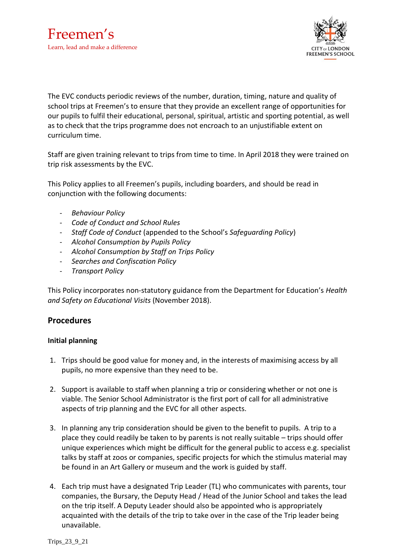

The EVC conducts periodic reviews of the number, duration, timing, nature and quality of school trips at Freemen's to ensure that they provide an excellent range of opportunities for our pupils to fulfil their educational, personal, spiritual, artistic and sporting potential, as well as to check that the trips programme does not encroach to an unjustifiable extent on curriculum time.

Staff are given training relevant to trips from time to time. In April 2018 they were trained on trip risk assessments by the EVC.

This Policy applies to all Freemen's pupils, including boarders, and should be read in conjunction with the following documents:

- *Behaviour Policy*
- *Code of Conduct and School Rules*
- *Staff Code of Conduct* (appended to the School's *Safeguarding Policy*)
- *Alcohol Consumption by Pupils Policy*
- *Alcohol Consumption by Staff on Trips Policy*
- *Searches and Confiscation Policy*
- *Transport Policy*

This Policy incorporates non-statutory guidance from the Department for Education's *Health and Safety on Educational Visits* (November 2018).

#### **Procedures**

#### **Initial planning**

- 1. Trips should be good value for money and, in the interests of maximising access by all pupils, no more expensive than they need to be.
- 2. Support is available to staff when planning a trip or considering whether or not one is viable. The Senior School Administrator is the first port of call for all administrative aspects of trip planning and the EVC for all other aspects.
- 3. In planning any trip consideration should be given to the benefit to pupils. A trip to a place they could readily be taken to by parents is not really suitable – trips should offer unique experiences which might be difficult for the general public to access e.g. specialist talks by staff at zoos or companies, specific projects for which the stimulus material may be found in an Art Gallery or museum and the work is guided by staff.
- 4. Each trip must have a designated Trip Leader (TL) who communicates with parents, tour companies, the Bursary, the Deputy Head / Head of the Junior School and takes the lead on the trip itself. A Deputy Leader should also be appointed who is appropriately acquainted with the details of the trip to take over in the case of the Trip leader being unavailable.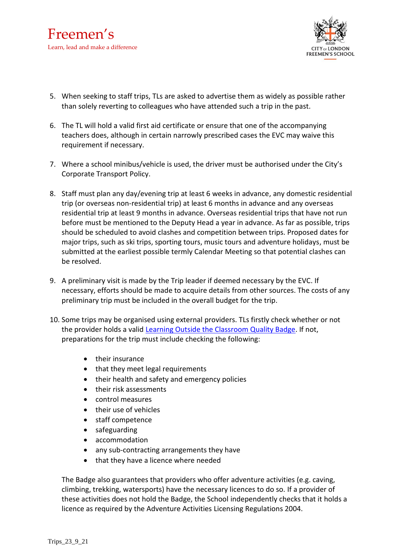

- 5. When seeking to staff trips, TLs are asked to advertise them as widely as possible rather than solely reverting to colleagues who have attended such a trip in the past.
- 6. The TL will hold a valid first aid certificate or ensure that one of the accompanying teachers does, although in certain narrowly prescribed cases the EVC may waive this requirement if necessary.
- 7. Where a school minibus/vehicle is used, the driver must be authorised under the City's Corporate Transport Policy.
- 8. Staff must plan any day/evening trip at least 6 weeks in advance, any domestic residential trip (or overseas non-residential trip) at least 6 months in advance and any overseas residential trip at least 9 months in advance. Overseas residential trips that have not run before must be mentioned to the Deputy Head a year in advance. As far as possible, trips should be scheduled to avoid clashes and competition between trips. Proposed dates for major trips, such as ski trips, sporting tours, music tours and adventure holidays, must be submitted at the earliest possible termly Calendar Meeting so that potential clashes can be resolved.
- 9. A preliminary visit is made by the Trip leader if deemed necessary by the EVC. If necessary, efforts should be made to acquire details from other sources. The costs of any preliminary trip must be included in the overall budget for the trip.
- 10. Some trips may be organised using external providers. TLs firstly check whether or not the provider holds a valid [Learning Outside the Classroom Quality Badge.](https://lotcqualitybadge.org.uk/search) If not, preparations for the trip must include checking the following:
	- their insurance
	- that they meet legal requirements
	- their health and safety and emergency policies
	- their risk assessments
	- control measures
	- their use of vehicles
	- staff competence
	- safeguarding
	- accommodation
	- any sub-contracting arrangements they have
	- that they have a licence where needed

The Badge also guarantees that providers who offer adventure activities (e.g. caving, climbing, trekking, watersports) have the necessary licences to do so. If a provider of these activities does not hold the Badge, the School independently checks that it holds a licence as required by the Adventure Activities Licensing Regulations 2004.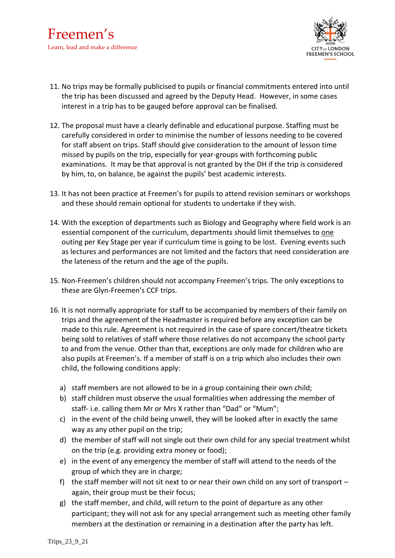

- 11. No trips may be formally publicised to pupils or financial commitments entered into until the trip has been discussed and agreed by the Deputy Head. However, in some cases interest in a trip has to be gauged before approval can be finalised.
- 12. The proposal must have a clearly definable and educational purpose. Staffing must be carefully considered in order to minimise the number of lessons needing to be covered for staff absent on trips. Staff should give consideration to the amount of lesson time missed by pupils on the trip, especially for year-groups with forthcoming public examinations. It may be that approval is not granted by the DH if the trip is considered by him, to, on balance, be against the pupils' best academic interests.
- 13. It has not been practice at Freemen's for pupils to attend revision seminars or workshops and these should remain optional for students to undertake if they wish.
- 14. With the exception of departments such as Biology and Geography where field work is an essential component of the curriculum, departments should limit themselves to one outing per Key Stage per year if curriculum time is going to be lost. Evening events such as lectures and performances are not limited and the factors that need consideration are the lateness of the return and the age of the pupils.
- 15. Non-Freemen's children should not accompany Freemen's trips. The only exceptions to these are Glyn-Freemen's CCF trips.
- 16. It is not normally appropriate for staff to be accompanied by members of their family on trips and the agreement of the Headmaster is required before any exception can be made to this rule. Agreement is not required in the case of spare concert/theatre tickets being sold to relatives of staff where those relatives do not accompany the school party to and from the venue. Other than that, exceptions are only made for children who are also pupils at Freemen's. If a member of staff is on a trip which also includes their own child, the following conditions apply:
	- a) staff members are not allowed to be in a group containing their own child;
	- b) staff children must observe the usual formalities when addressing the member of staff- i.e. calling them Mr or Mrs X rather than "Dad" or "Mum";
	- c) in the event of the child being unwell, they will be looked after in exactly the same way as any other pupil on the trip;
	- d) the member of staff will not single out their own child for any special treatment whilst on the trip (e.g. providing extra money or food);
	- e) in the event of any emergency the member of staff will attend to the needs of the group of which they are in charge;
	- f) the staff member will not sit next to or near their own child on any sort of transport again, their group must be their focus;
	- g) the staff member, and child, will return to the point of departure as any other participant; they will not ask for any special arrangement such as meeting other family members at the destination or remaining in a destination after the party has left.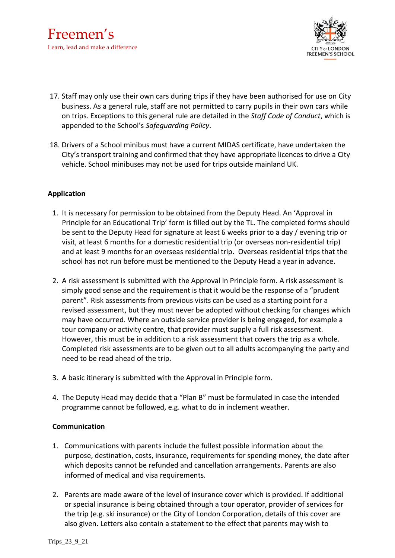

- 17. Staff may only use their own cars during trips if they have been authorised for use on City business. As a general rule, staff are not permitted to carry pupils in their own cars while on trips. Exceptions to this general rule are detailed in the *Staff Code of Conduct*, which is appended to the School's *Safeguarding Policy*.
- 18. Drivers of a School minibus must have a current MIDAS certificate, have undertaken the City's transport training and confirmed that they have appropriate licences to drive a City vehicle. School minibuses may not be used for trips outside mainland UK.

#### **Application**

- 1. It is necessary for permission to be obtained from the Deputy Head. An 'Approval in Principle for an Educational Trip' form is filled out by the TL. The completed forms should be sent to the Deputy Head for signature at least 6 weeks prior to a day / evening trip or visit, at least 6 months for a domestic residential trip (or overseas non-residential trip) and at least 9 months for an overseas residential trip. Overseas residential trips that the school has not run before must be mentioned to the Deputy Head a year in advance.
- 2. A risk assessment is submitted with the Approval in Principle form. A risk assessment is simply good sense and the requirement is that it would be the response of a "prudent parent". Risk assessments from previous visits can be used as a starting point for a revised assessment, but they must never be adopted without checking for changes which may have occurred. Where an outside service provider is being engaged, for example a tour company or activity centre, that provider must supply a full risk assessment. However, this must be in addition to a risk assessment that covers the trip as a whole. Completed risk assessments are to be given out to all adults accompanying the party and need to be read ahead of the trip.
- 3. A basic itinerary is submitted with the Approval in Principle form.
- 4. The Deputy Head may decide that a "Plan B" must be formulated in case the intended programme cannot be followed, e.g. what to do in inclement weather.

#### **Communication**

- 1. Communications with parents include the fullest possible information about the purpose, destination, costs, insurance, requirements for spending money, the date after which deposits cannot be refunded and cancellation arrangements. Parents are also informed of medical and visa requirements.
- 2. Parents are made aware of the level of insurance cover which is provided. If additional or special insurance is being obtained through a tour operator, provider of services for the trip (e.g. ski insurance) or the City of London Corporation, details of this cover are also given. Letters also contain a statement to the effect that parents may wish to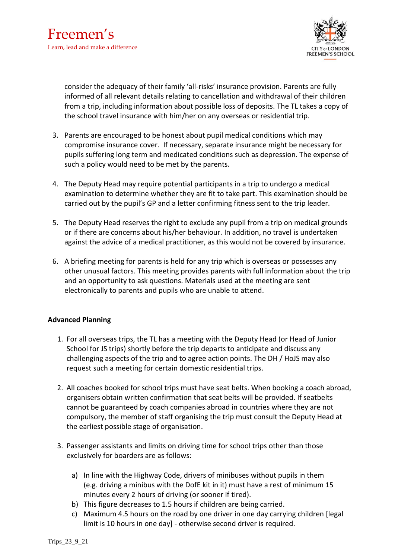

consider the adequacy of their family 'all-risks' insurance provision. Parents are fully informed of all relevant details relating to cancellation and withdrawal of their children from a trip, including information about possible loss of deposits. The TL takes a copy of the school travel insurance with him/her on any overseas or residential trip.

- 3. Parents are encouraged to be honest about pupil medical conditions which may compromise insurance cover. If necessary, separate insurance might be necessary for pupils suffering long term and medicated conditions such as depression. The expense of such a policy would need to be met by the parents.
- 4. The Deputy Head may require potential participants in a trip to undergo a medical examination to determine whether they are fit to take part. This examination should be carried out by the pupil's GP and a letter confirming fitness sent to the trip leader.
- 5. The Deputy Head reserves the right to exclude any pupil from a trip on medical grounds or if there are concerns about his/her behaviour. In addition, no travel is undertaken against the advice of a medical practitioner, as this would not be covered by insurance.
- 6. A briefing meeting for parents is held for any trip which is overseas or possesses any other unusual factors. This meeting provides parents with full information about the trip and an opportunity to ask questions. Materials used at the meeting are sent electronically to parents and pupils who are unable to attend.

#### **Advanced Planning**

- 1. For all overseas trips, the TL has a meeting with the Deputy Head (or Head of Junior School for JS trips) shortly before the trip departs to anticipate and discuss any challenging aspects of the trip and to agree action points. The DH / HoJS may also request such a meeting for certain domestic residential trips.
- 2. All coaches booked for school trips must have seat belts. When booking a coach abroad, organisers obtain written confirmation that seat belts will be provided. If seatbelts cannot be guaranteed by coach companies abroad in countries where they are not compulsory, the member of staff organising the trip must consult the Deputy Head at the earliest possible stage of organisation.
- 3. Passenger assistants and limits on driving time for school trips other than those exclusively for boarders are as follows:
	- a) In line with the Highway Code, drivers of minibuses without pupils in them (e.g. driving a minibus with the DofE kit in it) must have a rest of minimum 15 minutes every 2 hours of driving (or sooner if tired).
	- b) This figure decreases to 1.5 hours if children are being carried.
	- c) Maximum 4.5 hours on the road by one driver in one day carrying children [legal limit is 10 hours in one day] - otherwise second driver is required.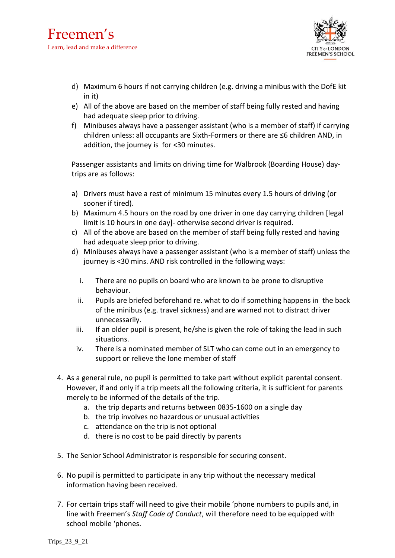

- d) Maximum 6 hours if not carrying children (e.g. driving a minibus with the DofE kit in it)
- e) All of the above are based on the member of staff being fully rested and having had adequate sleep prior to driving.
- f) Minibuses always have a passenger assistant (who is a member of staff) if carrying children unless: all occupants are Sixth-Formers or there are ≤6 children AND, in addition, the journey is for <30 minutes.

Passenger assistants and limits on driving time for Walbrook (Boarding House) daytrips are as follows:

- a) Drivers must have a rest of minimum 15 minutes every 1.5 hours of driving (or sooner if tired).
- b) Maximum 4.5 hours on the road by one driver in one day carrying children [legal limit is 10 hours in one day]- otherwise second driver is required.
- c) All of the above are based on the member of staff being fully rested and having had adequate sleep prior to driving.
- d) Minibuses always have a passenger assistant (who is a member of staff) unless the journey is <30 mins. AND risk controlled in the following ways:
	- i. There are no pupils on board who are known to be prone to disruptive behaviour.
	- ii. Pupils are briefed beforehand re. what to do if something happens in the back of the minibus (e.g. travel sickness) and are warned not to distract driver unnecessarily.
	- iii. If an older pupil is present, he/she is given the role of taking the lead in such situations.
	- iv. There is a nominated member of SLT who can come out in an emergency to support or relieve the lone member of staff
- 4. As a general rule, no pupil is permitted to take part without explicit parental consent. However, if and only if a trip meets all the following criteria, it is sufficient for parents merely to be informed of the details of the trip.
	- a. the trip departs and returns between 0835-1600 on a single day
	- b. the trip involves no hazardous or unusual activities
	- c. attendance on the trip is not optional
	- d. there is no cost to be paid directly by parents
- 5. The Senior School Administrator is responsible for securing consent.
- 6. No pupil is permitted to participate in any trip without the necessary medical information having been received.
- 7. For certain trips staff will need to give their mobile 'phone numbers to pupils and, in line with Freemen's *Staff Code of Conduct*, will therefore need to be equipped with school mobile 'phones.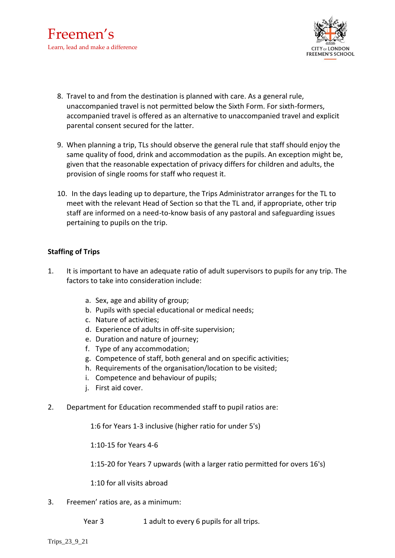

- 8. Travel to and from the destination is planned with care. As a general rule, unaccompanied travel is not permitted below the Sixth Form. For sixth-formers, accompanied travel is offered as an alternative to unaccompanied travel and explicit parental consent secured for the latter.
- 9. When planning a trip, TLs should observe the general rule that staff should enjoy the same quality of food, drink and accommodation as the pupils. An exception might be, given that the reasonable expectation of privacy differs for children and adults, the provision of single rooms for staff who request it.
- 10. In the days leading up to departure, the Trips Administrator arranges for the TL to meet with the relevant Head of Section so that the TL and, if appropriate, other trip staff are informed on a need-to-know basis of any pastoral and safeguarding issues pertaining to pupils on the trip.

#### **Staffing of Trips**

- 1. It is important to have an adequate ratio of adult supervisors to pupils for any trip. The factors to take into consideration include:
	- a. Sex, age and ability of group;
	- b. Pupils with special educational or medical needs;
	- c. Nature of activities;
	- d. Experience of adults in off-site supervision;
	- e. Duration and nature of journey;
	- f. Type of any accommodation;
	- g. Competence of staff, both general and on specific activities;
	- h. Requirements of the organisation/location to be visited;
	- i. Competence and behaviour of pupils;
	- j. First aid cover.
- 2. Department for Education recommended staff to pupil ratios are:

1:6 for Years 1-3 inclusive (higher ratio for under 5's)

1:10-15 for Years 4-6

1:15-20 for Years 7 upwards (with a larger ratio permitted for overs 16's)

1:10 for all visits abroad

- 3. Freemen' ratios are, as a minimum:
	- Year 3 1 adult to every 6 pupils for all trips.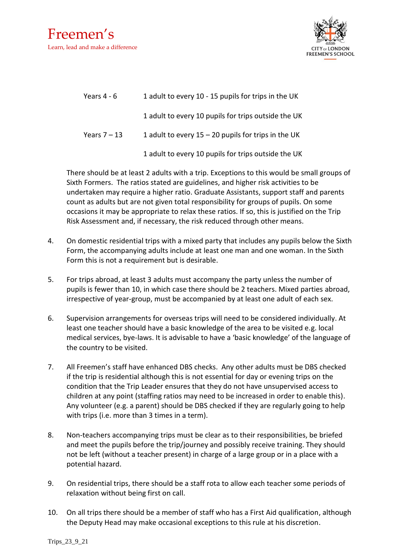

| Years 4 - 6    | 1 adult to every 10 - 15 pupils for trips in the UK   |
|----------------|-------------------------------------------------------|
|                | 1 adult to every 10 pupils for trips outside the UK   |
| Years $7 - 13$ | 1 adult to every $15 - 20$ pupils for trips in the UK |
|                | 1 adult to every 10 pupils for trips outside the UK   |

There should be at least 2 adults with a trip. Exceptions to this would be small groups of Sixth Formers. The ratios stated are guidelines, and higher risk activities to be undertaken may require a higher ratio. Graduate Assistants, support staff and parents count as adults but are not given total responsibility for groups of pupils. On some occasions it may be appropriate to relax these ratios. If so, this is justified on the Trip Risk Assessment and, if necessary, the risk reduced through other means.

- 4. On domestic residential trips with a mixed party that includes any pupils below the Sixth Form, the accompanying adults include at least one man and one woman. In the Sixth Form this is not a requirement but is desirable.
- 5. For trips abroad, at least 3 adults must accompany the party unless the number of pupils is fewer than 10, in which case there should be 2 teachers. Mixed parties abroad, irrespective of year-group, must be accompanied by at least one adult of each sex.
- 6. Supervision arrangements for overseas trips will need to be considered individually. At least one teacher should have a basic knowledge of the area to be visited e.g. local medical services, bye-laws. It is advisable to have a 'basic knowledge' of the language of the country to be visited.
- 7. All Freemen's staff have enhanced DBS checks. Any other adults must be DBS checked if the trip is residential although this is not essential for day or evening trips on the condition that the Trip Leader ensures that they do not have unsupervised access to children at any point (staffing ratios may need to be increased in order to enable this). Any volunteer (e.g. a parent) should be DBS checked if they are regularly going to help with trips (i.e. more than 3 times in a term).
- 8. Non-teachers accompanying trips must be clear as to their responsibilities, be briefed and meet the pupils before the trip/journey and possibly receive training. They should not be left (without a teacher present) in charge of a large group or in a place with a potential hazard.
- 9. On residential trips, there should be a staff rota to allow each teacher some periods of relaxation without being first on call.
- 10. On all trips there should be a member of staff who has a First Aid qualification, although the Deputy Head may make occasional exceptions to this rule at his discretion.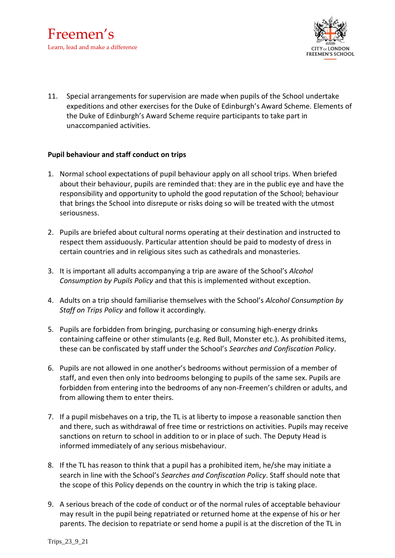

11. Special arrangements for supervision are made when pupils of the School undertake expeditions and other exercises for the Duke of Edinburgh's Award Scheme. Elements of the Duke of Edinburgh's Award Scheme require participants to take part in unaccompanied activities.

#### **Pupil behaviour and staff conduct on trips**

- 1. Normal school expectations of pupil behaviour apply on all school trips. When briefed about their behaviour, pupils are reminded that: they are in the public eye and have the responsibility and opportunity to uphold the good reputation of the School; behaviour that brings the School into disrepute or risks doing so will be treated with the utmost seriousness.
- 2. Pupils are briefed about cultural norms operating at their destination and instructed to respect them assiduously. Particular attention should be paid to modesty of dress in certain countries and in religious sites such as cathedrals and monasteries.
- 3. It is important all adults accompanying a trip are aware of the School's *Alcohol Consumption by Pupils Policy* and that this is implemented without exception.
- 4. Adults on a trip should familiarise themselves with the School's *Alcohol Consumption by Staff on Trips Policy* and follow it accordingly.
- 5. Pupils are forbidden from bringing, purchasing or consuming high-energy drinks containing caffeine or other stimulants (e.g. Red Bull, Monster etc.). As prohibited items, these can be confiscated by staff under the School's *Searches and Confiscation Policy*.
- 6. Pupils are not allowed in one another's bedrooms without permission of a member of staff, and even then only into bedrooms belonging to pupils of the same sex. Pupils are forbidden from entering into the bedrooms of any non-Freemen's children or adults, and from allowing them to enter theirs.
- 7. If a pupil misbehaves on a trip, the TL is at liberty to impose a reasonable sanction then and there, such as withdrawal of free time or restrictions on activities. Pupils may receive sanctions on return to school in addition to or in place of such. The Deputy Head is informed immediately of any serious misbehaviour.
- 8. If the TL has reason to think that a pupil has a prohibited item, he/she may initiate a search in line with the School's *Searches and Confiscation Policy*. Staff should note that the scope of this Policy depends on the country in which the trip is taking place.
- 9. A serious breach of the code of conduct or of the normal rules of acceptable behaviour may result in the pupil being repatriated or returned home at the expense of his or her parents. The decision to repatriate or send home a pupil is at the discretion of the TL in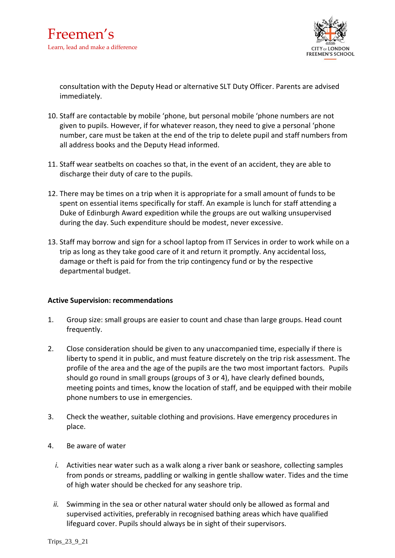

consultation with the Deputy Head or alternative SLT Duty Officer. Parents are advised immediately.

- 10. Staff are contactable by mobile 'phone, but personal mobile 'phone numbers are not given to pupils. However, if for whatever reason, they need to give a personal 'phone number, care must be taken at the end of the trip to delete pupil and staff numbers from all address books and the Deputy Head informed.
- 11. Staff wear seatbelts on coaches so that, in the event of an accident, they are able to discharge their duty of care to the pupils.
- 12. There may be times on a trip when it is appropriate for a small amount of funds to be spent on essential items specifically for staff. An example is lunch for staff attending a Duke of Edinburgh Award expedition while the groups are out walking unsupervised during the day. Such expenditure should be modest, never excessive.
- 13. Staff may borrow and sign for a school laptop from IT Services in order to work while on a trip as long as they take good care of it and return it promptly. Any accidental loss, damage or theft is paid for from the trip contingency fund or by the respective departmental budget.

#### **Active Supervision: recommendations**

- 1. Group size: small groups are easier to count and chase than large groups. Head count frequently.
- 2. Close consideration should be given to any unaccompanied time, especially if there is liberty to spend it in public, and must feature discretely on the trip risk assessment. The profile of the area and the age of the pupils are the two most important factors. Pupils should go round in small groups (groups of 3 or 4), have clearly defined bounds, meeting points and times, know the location of staff, and be equipped with their mobile phone numbers to use in emergencies.
- 3. Check the weather, suitable clothing and provisions. Have emergency procedures in place.
- 4. Be aware of water
	- *i.* Activities near water such as a walk along a river bank or seashore, collecting samples from ponds or streams, paddling or walking in gentle shallow water. Tides and the time of high water should be checked for any seashore trip.
	- *ii.* Swimming in the sea or other natural water should only be allowed as formal and supervised activities, preferably in recognised bathing areas which have qualified lifeguard cover. Pupils should always be in sight of their supervisors.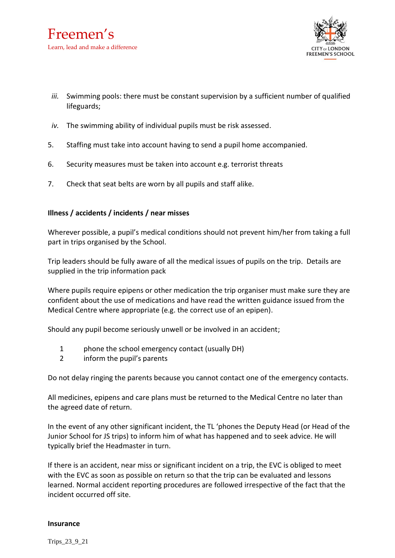

- *iii.* Swimming pools: there must be constant supervision by a sufficient number of qualified lifeguards;
- *iv.* The swimming ability of individual pupils must be risk assessed.
- 5. Staffing must take into account having to send a pupil home accompanied.
- 6. Security measures must be taken into account e.g. terrorist threats
- 7. Check that seat belts are worn by all pupils and staff alike.

#### **Illness / accidents / incidents / near misses**

Wherever possible, a pupil's medical conditions should not prevent him/her from taking a full part in trips organised by the School.

Trip leaders should be fully aware of all the medical issues of pupils on the trip. Details are supplied in the trip information pack

Where pupils require epipens or other medication the trip organiser must make sure they are confident about the use of medications and have read the written guidance issued from the Medical Centre where appropriate (e.g. the correct use of an epipen).

Should any pupil become seriously unwell or be involved in an accident;

- 1 phone the school emergency contact (usually DH)
- 2 inform the pupil's parents

Do not delay ringing the parents because you cannot contact one of the emergency contacts.

All medicines, epipens and care plans must be returned to the Medical Centre no later than the agreed date of return.

In the event of any other significant incident, the TL 'phones the Deputy Head (or Head of the Junior School for JS trips) to inform him of what has happened and to seek advice. He will typically brief the Headmaster in turn.

If there is an accident, near miss or significant incident on a trip, the EVC is obliged to meet with the EVC as soon as possible on return so that the trip can be evaluated and lessons learned. Normal accident reporting procedures are followed irrespective of the fact that the incident occurred off site.

#### **Insurance**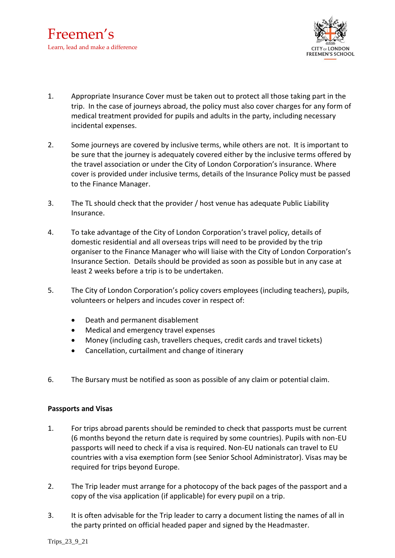

- 1. Appropriate Insurance Cover must be taken out to protect all those taking part in the trip. In the case of journeys abroad, the policy must also cover charges for any form of medical treatment provided for pupils and adults in the party, including necessary incidental expenses.
- 2. Some journeys are covered by inclusive terms, while others are not. It is important to be sure that the journey is adequately covered either by the inclusive terms offered by the travel association or under the City of London Corporation's insurance. Where cover is provided under inclusive terms, details of the Insurance Policy must be passed to the Finance Manager.
- 3. The TL should check that the provider / host venue has adequate Public Liability Insurance.
- 4. To take advantage of the City of London Corporation's travel policy, details of domestic residential and all overseas trips will need to be provided by the trip organiser to the Finance Manager who will liaise with the City of London Corporation's Insurance Section. Details should be provided as soon as possible but in any case at least 2 weeks before a trip is to be undertaken.
- 5. The City of London Corporation's policy covers employees (including teachers), pupils, volunteers or helpers and incudes cover in respect of:
	- Death and permanent disablement
	- Medical and emergency travel expenses
	- Money (including cash, travellers cheques, credit cards and travel tickets)
	- Cancellation, curtailment and change of itinerary
- 6. The Bursary must be notified as soon as possible of any claim or potential claim.

#### **Passports and Visas**

- 1. For trips abroad parents should be reminded to check that passports must be current (6 months beyond the return date is required by some countries). Pupils with non-EU passports will need to check if a visa is required. Non-EU nationals can travel to EU countries with a visa exemption form (see Senior School Administrator). Visas may be required for trips beyond Europe.
- 2. The Trip leader must arrange for a photocopy of the back pages of the passport and a copy of the visa application (if applicable) for every pupil on a trip.
- 3. It is often advisable for the Trip leader to carry a document listing the names of all in the party printed on official headed paper and signed by the Headmaster.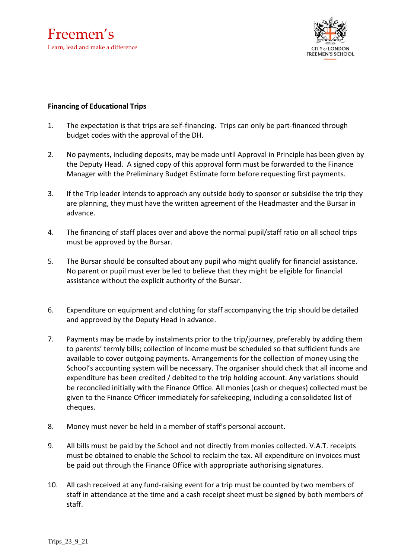

#### **Financing of Educational Trips**

- 1. The expectation is that trips are self-financing. Trips can only be part-financed through budget codes with the approval of the DH.
- 2. No payments, including deposits, may be made until Approval in Principle has been given by the Deputy Head. A signed copy of this approval form must be forwarded to the Finance Manager with the Preliminary Budget Estimate form before requesting first payments.
- 3. If the Trip leader intends to approach any outside body to sponsor or subsidise the trip they are planning, they must have the written agreement of the Headmaster and the Bursar in advance.
- 4. The financing of staff places over and above the normal pupil/staff ratio on all school trips must be approved by the Bursar.
- 5. The Bursar should be consulted about any pupil who might qualify for financial assistance. No parent or pupil must ever be led to believe that they might be eligible for financial assistance without the explicit authority of the Bursar.
- 6. Expenditure on equipment and clothing for staff accompanying the trip should be detailed and approved by the Deputy Head in advance.
- 7. Payments may be made by instalments prior to the trip/journey, preferably by adding them to parents' termly bills; collection of income must be scheduled so that sufficient funds are available to cover outgoing payments. Arrangements for the collection of money using the School's accounting system will be necessary. The organiser should check that all income and expenditure has been credited / debited to the trip holding account. Any variations should be reconciled initially with the Finance Office. All monies (cash or cheques) collected must be given to the Finance Officer immediately for safekeeping, including a consolidated list of cheques.
- 8. Money must never be held in a member of staff's personal account.
- 9. All bills must be paid by the School and not directly from monies collected. V.A.T. receipts must be obtained to enable the School to reclaim the tax. All expenditure on invoices must be paid out through the Finance Office with appropriate authorising signatures.
- 10. All cash received at any fund-raising event for a trip must be counted by two members of staff in attendance at the time and a cash receipt sheet must be signed by both members of staff.